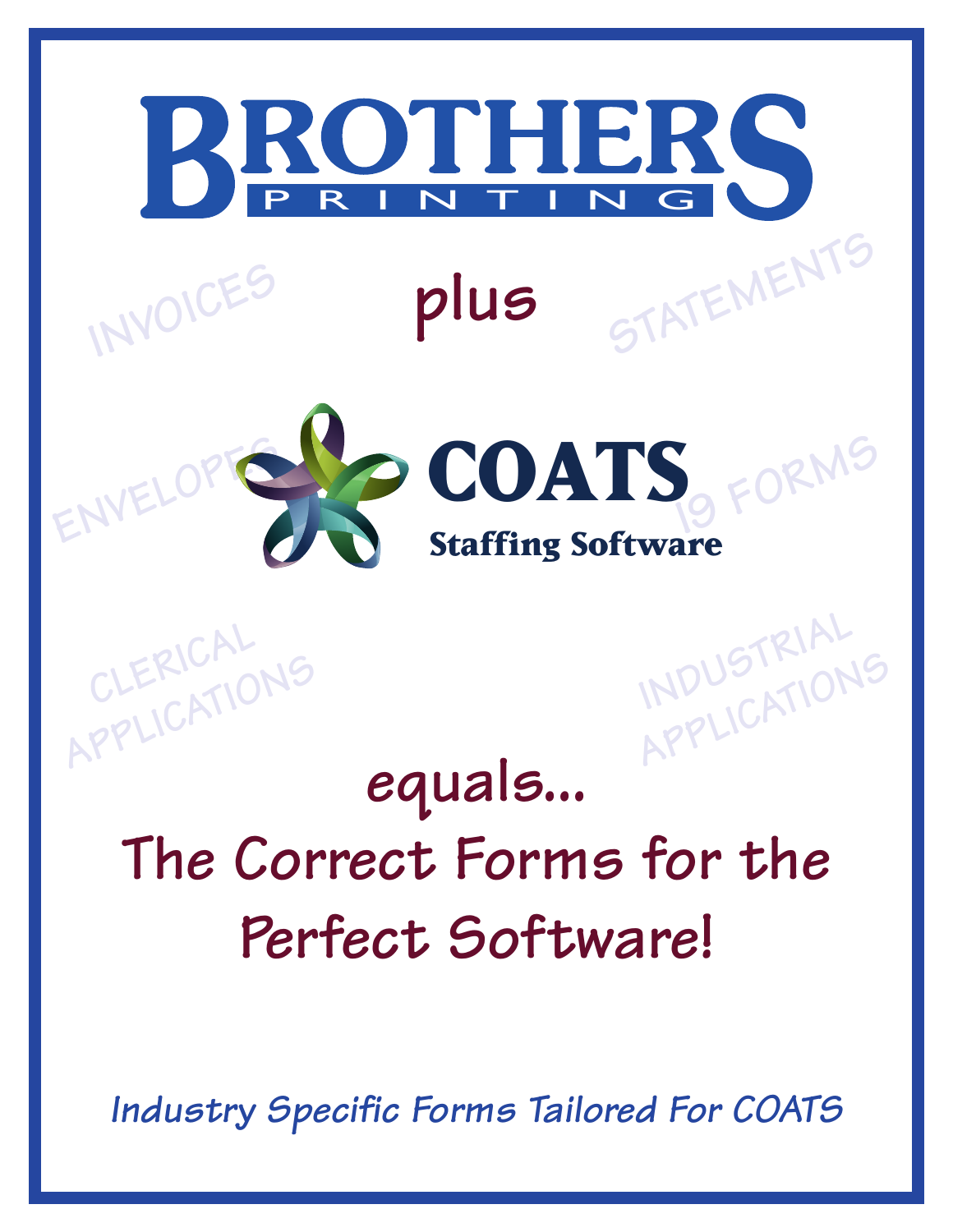

*Industry Specific Forms Tailored For COATS*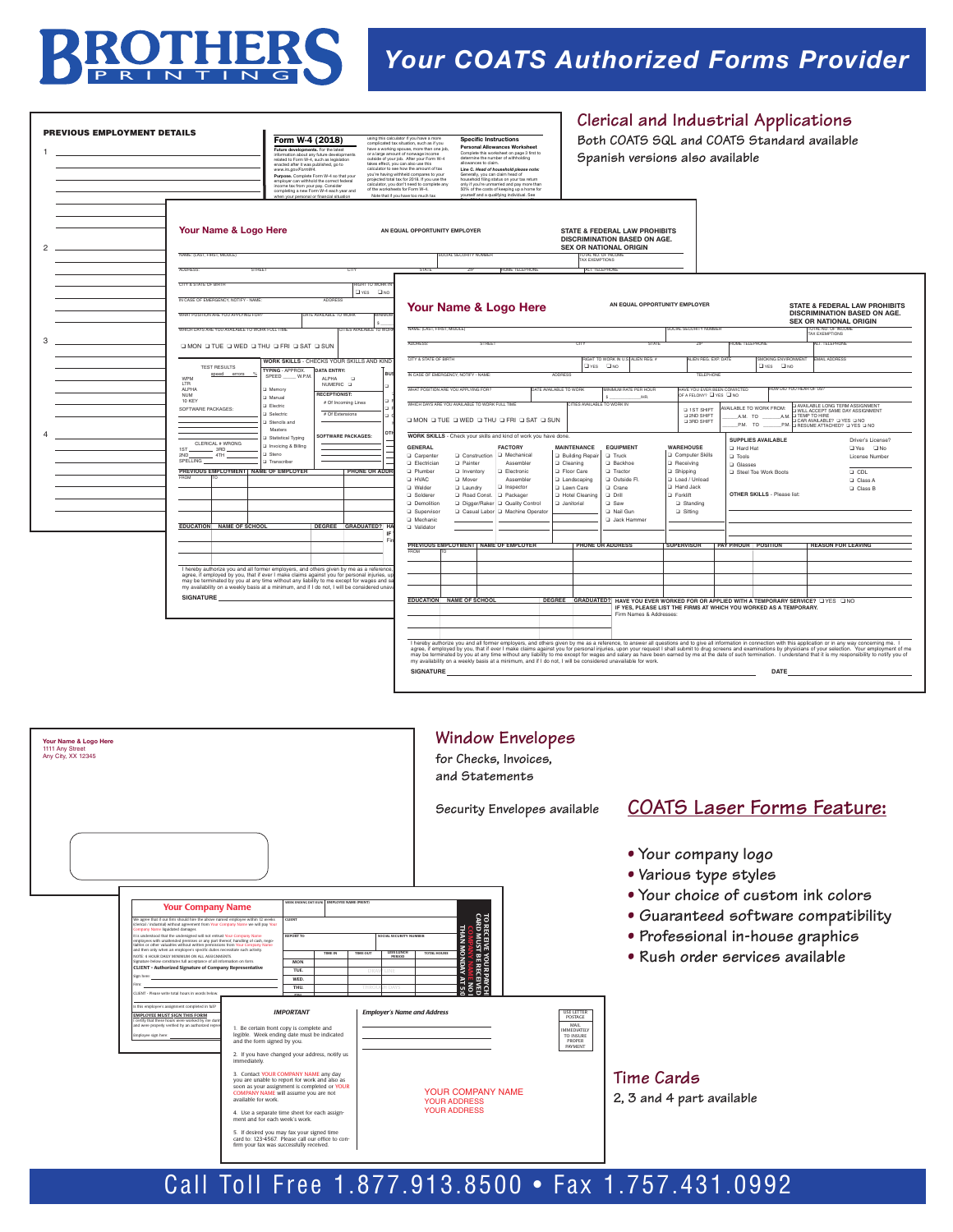

## *Your COATS Authorized Forms Provider*

|                                                                | PREVIOUS EMPLOYMENT DETAILS                                                                                                                                                                                                                                                                                                                                                                                                                                                                                                                                                                                                                                                                    | Form W-4 (2018)<br>Future developments. For the latest<br>information about any future developments<br>related to Form W-4, such as legislation<br>enacted after it was published, go to<br>www.irs.gov/FormW4.<br>Purpose. Complete Form W-4 so that your<br>employer can withhold the correct federal<br>ensure that from your pay. Consider<br>completing a new Form W-4 each year and<br>when your personal or financial situation                                                                                                                              | using this calculator if you have a more<br><b>Specific Instructions</b><br>complicated tax situation, such as if you<br>Personal Allowances Worksheet<br>complication and spaces, more than one job,<br>have a working spouse, more than one job,<br>or a large amount of norwage income<br>outside of your job. After your Form W-4<br>Complete this worksheet on page 3 first to<br>compone and worksheet on page 3 fi<br>determine the number of withholding<br>allowances to claim.<br>takes effect, you can also use this<br>calculator to see how the amount of tax<br>Line C. Head of household please note.<br>you're having withheld compares to your<br>projected total tax for 2018. If you use the<br>Generally, you can claim head of<br>household filing status on your tax return<br>only if you're unmarried and pay more than<br>calculator, you don't need to complete any<br>of the worksheets for Form W-4.<br>50% of the costs of keeping up a home for<br>Note that if you have too much tax<br>yourself and a qualifying individual. See | Spanish versions also available                                                                                                                                                                                                                                                                                              |                                                                                                                                                                              | Clerical and Industrial Applications<br>Both COATS SQL and COATS Standard available                                                                                                                                                                         |
|----------------------------------------------------------------|------------------------------------------------------------------------------------------------------------------------------------------------------------------------------------------------------------------------------------------------------------------------------------------------------------------------------------------------------------------------------------------------------------------------------------------------------------------------------------------------------------------------------------------------------------------------------------------------------------------------------------------------------------------------------------------------|---------------------------------------------------------------------------------------------------------------------------------------------------------------------------------------------------------------------------------------------------------------------------------------------------------------------------------------------------------------------------------------------------------------------------------------------------------------------------------------------------------------------------------------------------------------------|------------------------------------------------------------------------------------------------------------------------------------------------------------------------------------------------------------------------------------------------------------------------------------------------------------------------------------------------------------------------------------------------------------------------------------------------------------------------------------------------------------------------------------------------------------------------------------------------------------------------------------------------------------------------------------------------------------------------------------------------------------------------------------------------------------------------------------------------------------------------------------------------------------------------------------------------------------------------------------------------------------------------------------------------------------------|------------------------------------------------------------------------------------------------------------------------------------------------------------------------------------------------------------------------------------------------------------------------------------------------------------------------------|------------------------------------------------------------------------------------------------------------------------------------------------------------------------------|-------------------------------------------------------------------------------------------------------------------------------------------------------------------------------------------------------------------------------------------------------------|
|                                                                | Your Name & Logo Here<br>NAME: (LAST, FIRST, MIDDLE)                                                                                                                                                                                                                                                                                                                                                                                                                                                                                                                                                                                                                                           |                                                                                                                                                                                                                                                                                                                                                                                                                                                                                                                                                                     | AN EQUAL OPPORTUNITY EMPLOYER<br>SOCIAL SECURITY NUMBER                                                                                                                                                                                                                                                                                                                                                                                                                                                                                                                                                                                                                                                                                                                                                                                                                                                                                                                                                                                                          | <b>STATE &amp; FEDERAL LAW PROHIBITS</b><br>DISCRIMINATION BASED ON AGE.<br><b>SEX OR NATIONAL ORIGIN</b><br>TOTAL NO. OF INCOME<br>TAX EXEMPTIONS                                                                                                                                                                           |                                                                                                                                                                              |                                                                                                                                                                                                                                                             |
|                                                                | ADDRESS:<br>STREET<br>CITY & STATE OF BIRTH<br>IN CASE OF EMERGENCY, NOTIFY - NAME<br>WHAT POSITION ARE YOU APPLYING FOR?                                                                                                                                                                                                                                                                                                                                                                                                                                                                                                                                                                      | <b>GHT TO WOR</b><br>Elves Elve<br>ADDRESS<br>DATE AVAILABLE TO WOR                                                                                                                                                                                                                                                                                                                                                                                                                                                                                                 | STATE<br><b>THOME TELEPHONE</b><br>Your Name & Logo Here                                                                                                                                                                                                                                                                                                                                                                                                                                                                                                                                                                                                                                                                                                                                                                                                                                                                                                                                                                                                         | ALT. TELEPHONE<br>AN EQUAL OPPORTUNITY EMPLOYER                                                                                                                                                                                                                                                                              |                                                                                                                                                                              | <b>STATE &amp; FEDERAL LAW PROHIBITS</b><br>DISCRIMINATION BASED ON AGE.<br><b>SEX OR NATIONAL ORIGIN</b>                                                                                                                                                   |
|                                                                | WHICH DAYS ARE YOU AVAILABLE TO WORK FULL TIME<br>Q MON Q TUE Q WED Q THU Q FRI Q SAT Q SUN                                                                                                                                                                                                                                                                                                                                                                                                                                                                                                                                                                                                    | CITIES AVAILABLE TO WC                                                                                                                                                                                                                                                                                                                                                                                                                                                                                                                                              | NAME: (LAST, FIRST, MIDDLE<br>ADDRESS:                                                                                                                                                                                                                                                                                                                                                                                                                                                                                                                                                                                                                                                                                                                                                                                                                                                                                                                                                                                                                           |                                                                                                                                                                                                                                                                                                                              | <b>OCIAL SECURITY NUMBER</b>                                                                                                                                                 | TOTAL NO. OF INC<br>TAX EXEMPTIONS<br>OME TELEPHON<br>ALT. TELEPHONE                                                                                                                                                                                        |
|                                                                | <b>TEST RESULTS</b>                                                                                                                                                                                                                                                                                                                                                                                                                                                                                                                                                                                                                                                                            | WORK SKILLS - CHECKS YOUR SKILLS AND KIND                                                                                                                                                                                                                                                                                                                                                                                                                                                                                                                           | CITY & STATE OF BIRTH                                                                                                                                                                                                                                                                                                                                                                                                                                                                                                                                                                                                                                                                                                                                                                                                                                                                                                                                                                                                                                            | BAHT TO WORK IN ITS LATEN REG. #<br>$QYES$ $QNO$                                                                                                                                                                                                                                                                             | <b>NIEN REG. EXP. DAT</b>                                                                                                                                                    | <b>EMAIL ADDRESS</b><br><b>MOKING ENVIRONMENT</b><br>$QYES$ $QNO$                                                                                                                                                                                           |
|                                                                | speed errors %<br>WPM<br>LTR<br>ALPHA                                                                                                                                                                                                                                                                                                                                                                                                                                                                                                                                                                                                                                                          | DATA ENTRY:<br><b>TYPING · APPROX.</b><br>SPEED_<br>W.P.M<br><b>ALPHA</b><br><b>D</b><br>NUMERIC <b>Q</b>                                                                                                                                                                                                                                                                                                                                                                                                                                                           | IN CASE OF EMERGENCY, NOTIFY - NAME:                                                                                                                                                                                                                                                                                                                                                                                                                                                                                                                                                                                                                                                                                                                                                                                                                                                                                                                                                                                                                             | <b>ADDRESS</b>                                                                                                                                                                                                                                                                                                               | <b>TELEPHONE</b>                                                                                                                                                             |                                                                                                                                                                                                                                                             |
|                                                                | <b>NUM</b><br>10 KEY                                                                                                                                                                                                                                                                                                                                                                                                                                                                                                                                                                                                                                                                           | Memory<br><b>RECEPTIONIST:</b><br>Manual<br># Of Incoming Lines<br>Electric                                                                                                                                                                                                                                                                                                                                                                                                                                                                                         | WHAT POSITION ARE YOU APPLYING FOR?<br>WHICH DAYS ARE YOU AVAILABLE TO WORK FULL TIME                                                                                                                                                                                                                                                                                                                                                                                                                                                                                                                                                                                                                                                                                                                                                                                                                                                                                                                                                                            | DATE AVAILABLE TO WORK<br>MINIMIM RATE PER HOUR<br>s.<br>/HR.<br>TIES AVAILABLE TO WORK IN                                                                                                                                                                                                                                   | HAVE YOU EVER REEN CONVICTED<br>OF A FELONY? IN YES IN NO                                                                                                                    | HOW DID YOU HEAR OF US?                                                                                                                                                                                                                                     |
|                                                                | SOFTWARE PACKAGES:                                                                                                                                                                                                                                                                                                                                                                                                                                                                                                                                                                                                                                                                             | # Of Extensions<br>Selectric<br>Stencils and                                                                                                                                                                                                                                                                                                                                                                                                                                                                                                                        | Q MON Q TUE Q WED Q THU Q FRI Q SAT Q SUN                                                                                                                                                                                                                                                                                                                                                                                                                                                                                                                                                                                                                                                                                                                                                                                                                                                                                                                                                                                                                        |                                                                                                                                                                                                                                                                                                                              | D 1ST SHIFT<br><b>Q 2ND SHIFT</b><br><b>Q 3RD SHIFT</b>                                                                                                                      | M: CAVALABLE LONG TERM ASSIGNMENT<br><b>NAILABLE TO WORK FROM:</b><br>A.M. TO<br>GAR AVAILABLE? DYES DNO<br>DRESUME ATTACHED? DYES DNO<br>$PM.$ TO<br>PM                                                                                                    |
|                                                                | CLERICAL # WRONG<br>1ST<br>$\frac{1}{\sqrt{1-\frac{1}{2}}}\left \frac{1}{2}AB\right $<br>2ND<br>$-4TH$<br>SPELLING<br>PREVIOUS EMPLOYMENT                                                                                                                                                                                                                                                                                                                                                                                                                                                                                                                                                      | Masters<br>SOFTWARE PACKAGES:<br><b>Statistical Typing</b><br>Invoicing & Billing<br>I Steno<br>Transcribe<br><b>NAME OF EMPLOYER</b><br>PHONE OR ADDF                                                                                                                                                                                                                                                                                                                                                                                                              | WORK SKILLS - Check your skills and kind of work you have done.<br><b>GENERAL</b><br><b>FACTORY</b><br>Q Carpenter<br>Q Construction Q Mechanical<br><b>D</b> Painter<br><b>D. Flectrician</b><br>Assembler<br><b>D</b> Plumber<br>Inventory<br><b>Q</b> Electronic<br><b>LI HVAC</b><br>O Mover<br>Assembler<br><b>Q</b> Welder<br><b>Q</b> Laundry<br>a Inspector<br>a Solderer<br><b>Q</b> Road Const.<br>D Packager<br><b>Q</b> Demolition<br>Digger/Raker Q Quality Control<br><b>Q</b> Supervisor<br>Q Casual Labor Q Machine Operator                                                                                                                                                                                                                                                                                                                                                                                                                                                                                                                     | <b>MAINTENANCE</b><br><b>EQUIPMENT</b><br><b>Q</b> Building Repair<br>$\square$ Truck<br>Q Cleaning<br><b>D</b> Backhoe<br><b>D</b> Floor Care<br><b>Q</b> Tractor<br><b>Q</b> Landscaping<br>Q Outside Fl.<br>Lawn Care<br>Q Crane<br><b>D. Hotel Cleaning</b><br>Q Drill<br>$\Box$ Janitorial<br>$\square$ Saw<br>Rail Gun | <b>WAREHOUSE</b><br>Computer Skills<br><b>D</b> Receiving<br>G Shipping<br>Load / Unload<br><b>Q</b> Hand Jack<br><b>D</b> Forklift<br><b>Q</b> Standing<br><b>Q</b> Sitting | SUPPLIES AVAILABLE<br>Driver's License?<br><b>D</b> Hard Hat<br>$\Box$ Yes $\Box$ No<br><b>D</b> Tools<br>License Number<br><b>Q</b> Glasses<br>$\Box$ CDL<br><b>Q</b> Steel Toe Work Boots<br>Q Class A<br>Q Class B<br><b>OTHER SKILLS - Please list:</b> |
|                                                                | EDUCATION NAME OF SCHOOL                                                                                                                                                                                                                                                                                                                                                                                                                                                                                                                                                                                                                                                                       | DEGREE GRADUATED? H                                                                                                                                                                                                                                                                                                                                                                                                                                                                                                                                                 | <b>Q</b> Mechanic<br>Q Validator                                                                                                                                                                                                                                                                                                                                                                                                                                                                                                                                                                                                                                                                                                                                                                                                                                                                                                                                                                                                                                 | <b>Q</b> Jack Hammer                                                                                                                                                                                                                                                                                                         |                                                                                                                                                                              |                                                                                                                                                                                                                                                             |
|                                                                |                                                                                                                                                                                                                                                                                                                                                                                                                                                                                                                                                                                                                                                                                                |                                                                                                                                                                                                                                                                                                                                                                                                                                                                                                                                                                     | PREVIOUS EMPLOYMENT NAME OF EMPLOYER                                                                                                                                                                                                                                                                                                                                                                                                                                                                                                                                                                                                                                                                                                                                                                                                                                                                                                                                                                                                                             | <b>PHONE OR ADDRESS</b>                                                                                                                                                                                                                                                                                                      |                                                                                                                                                                              | SUPERVISOR PAY P/HOUR POSITION<br><b>REASON FOR LEAVING</b>                                                                                                                                                                                                 |
|                                                                |                                                                                                                                                                                                                                                                                                                                                                                                                                                                                                                                                                                                                                                                                                | I hereby authorize you and all former employers, and others given by me as a reference                                                                                                                                                                                                                                                                                                                                                                                                                                                                              |                                                                                                                                                                                                                                                                                                                                                                                                                                                                                                                                                                                                                                                                                                                                                                                                                                                                                                                                                                                                                                                                  |                                                                                                                                                                                                                                                                                                                              |                                                                                                                                                                              |                                                                                                                                                                                                                                                             |
|                                                                |                                                                                                                                                                                                                                                                                                                                                                                                                                                                                                                                                                                                                                                                                                | agree, if employed by you, that if ever I make claims against you for personal injuries, up<br>may be terminated by you at any time without any liability to me except for wages and sa<br>my availability on a weekly basis at a minimum, and if I do not, I will be considered unav                                                                                                                                                                                                                                                                               |                                                                                                                                                                                                                                                                                                                                                                                                                                                                                                                                                                                                                                                                                                                                                                                                                                                                                                                                                                                                                                                                  |                                                                                                                                                                                                                                                                                                                              |                                                                                                                                                                              |                                                                                                                                                                                                                                                             |
|                                                                | SIGNATURE                                                                                                                                                                                                                                                                                                                                                                                                                                                                                                                                                                                                                                                                                      |                                                                                                                                                                                                                                                                                                                                                                                                                                                                                                                                                                     | EDUCATION NAME OF SCHOOL                                                                                                                                                                                                                                                                                                                                                                                                                                                                                                                                                                                                                                                                                                                                                                                                                                                                                                                                                                                                                                         | Firm Names & Addresses:                                                                                                                                                                                                                                                                                                      |                                                                                                                                                                              | DEGREE GRADUATED? HAVE YOU EVER WORKED FOR OR APPLIED WITH A TEMPORARY SERVICE? UYES UNO<br>IF YES. PLEASE LIST THE FIRMS AT WHICH YOU WORKED AS A TEMPORARY.                                                                                               |
| Your Name & Logo Here<br>1111 Any Street<br>Any City, XX 12345 |                                                                                                                                                                                                                                                                                                                                                                                                                                                                                                                                                                                                                                                                                                |                                                                                                                                                                                                                                                                                                                                                                                                                                                                                                                                                                     | SIGNATURE<br><b>Window Envelopes</b><br>for Checks, Invoices,<br>and Statements                                                                                                                                                                                                                                                                                                                                                                                                                                                                                                                                                                                                                                                                                                                                                                                                                                                                                                                                                                                  |                                                                                                                                                                                                                                                                                                                              |                                                                                                                                                                              | DATE                                                                                                                                                                                                                                                        |
|                                                                |                                                                                                                                                                                                                                                                                                                                                                                                                                                                                                                                                                                                                                                                                                |                                                                                                                                                                                                                                                                                                                                                                                                                                                                                                                                                                     | Security Envelopes available                                                                                                                                                                                                                                                                                                                                                                                                                                                                                                                                                                                                                                                                                                                                                                                                                                                                                                                                                                                                                                     |                                                                                                                                                                                                                                                                                                                              |                                                                                                                                                                              | <b>COATS Laser Forms Feature:</b>                                                                                                                                                                                                                           |
|                                                                |                                                                                                                                                                                                                                                                                                                                                                                                                                                                                                                                                                                                                                                                                                | EEK ENDING DAT GUN THADLOVER NAME (DOIN)                                                                                                                                                                                                                                                                                                                                                                                                                                                                                                                            |                                                                                                                                                                                                                                                                                                                                                                                                                                                                                                                                                                                                                                                                                                                                                                                                                                                                                                                                                                                                                                                                  |                                                                                                                                                                                                                                                                                                                              | . Your company logo                                                                                                                                                          | · Various type styles<br>. Your choice of custom ink colors                                                                                                                                                                                                 |
|                                                                | <b>Your Company Name</b><br>We agree that if our firm should hire the above named employee within 12 weeks (clerical / industrial) without agreement from Your Company Name we will pay Your Company Name liquidated damages.<br>is understood that the undersigned will not entrust Your Company Name<br>employees with unaltended premises or any part thereof, handling of cash, nego-<br>lables or other valuables without withen permissions from Your Company N<br>NOTE: 4 HOUR DAILY MINIMUM ON ALL ASSIGNMENTS.<br>ates full acceptance of all information on form<br><b>CLIENT - Authorized Signature of Company Representative</b><br>LIENT - Please write total hours in words belo | <b>LIEN</b><br><b>TIME IN</b><br>TIME OUT<br>MON.<br>TUE.<br>WED.<br>THU.                                                                                                                                                                                                                                                                                                                                                                                                                                                                                           | TO RECEIVE YOUR PAYCH<br>COMPANY NAME NO I<br>COMPANY NAME NO I<br>COMPANY MONDAY AT 5:0<br>LESS LUNCH<br>TOTAL HOURS<br>PERIOD                                                                                                                                                                                                                                                                                                                                                                                                                                                                                                                                                                                                                                                                                                                                                                                                                                                                                                                                  |                                                                                                                                                                                                                                                                                                                              |                                                                                                                                                                              | • Guaranteed software compatibility<br>• Professional in-house graphics<br>• Rush order services available                                                                                                                                                  |
|                                                                | Is this employee's assignment completed in full<br><b>EMPLOYEE MUST SIGN THIS FORM</b><br>nd were properly verified by an authorized re<br>immediately<br>available for work.                                                                                                                                                                                                                                                                                                                                                                                                                                                                                                                  | <b>IMPORTANT</b><br>1. Be certain front copy is complete and<br>legible. Week ending date must be indicated<br>and the form signed by you.<br>2. If you have changed your address, notify us<br>3. Contact YOUR COMPANY NAME any day<br>you are unable to report for work and also as<br>soon as your assignment is completed or YOUR<br>COMPANY NAME will assume you are not<br>4. Use a separate time sheet for each assign-<br>ment and for each week's work.<br>5. If desired you may fax your signed time<br>card to: 123-4567. Please call our office to con- | <b>Employer's Name and Address</b><br>YOUR COMPANY NAME<br><b>YOUR ADDRESS</b><br><b>YOUR ADDRESS</b>                                                                                                                                                                                                                                                                                                                                                                                                                                                                                                                                                                                                                                                                                                                                                                                                                                                                                                                                                            | USE LETTER<br>POSTAGE<br>MAIL<br>MMEDIATELY<br>TO INSURE<br>PROPER<br>PAYMENT<br>Time Cards<br>2, 3 and 4 part available                                                                                                                                                                                                     |                                                                                                                                                                              |                                                                                                                                                                                                                                                             |

## Call Toll Free 1.877.913.8500 • Fax 1.757.431.0992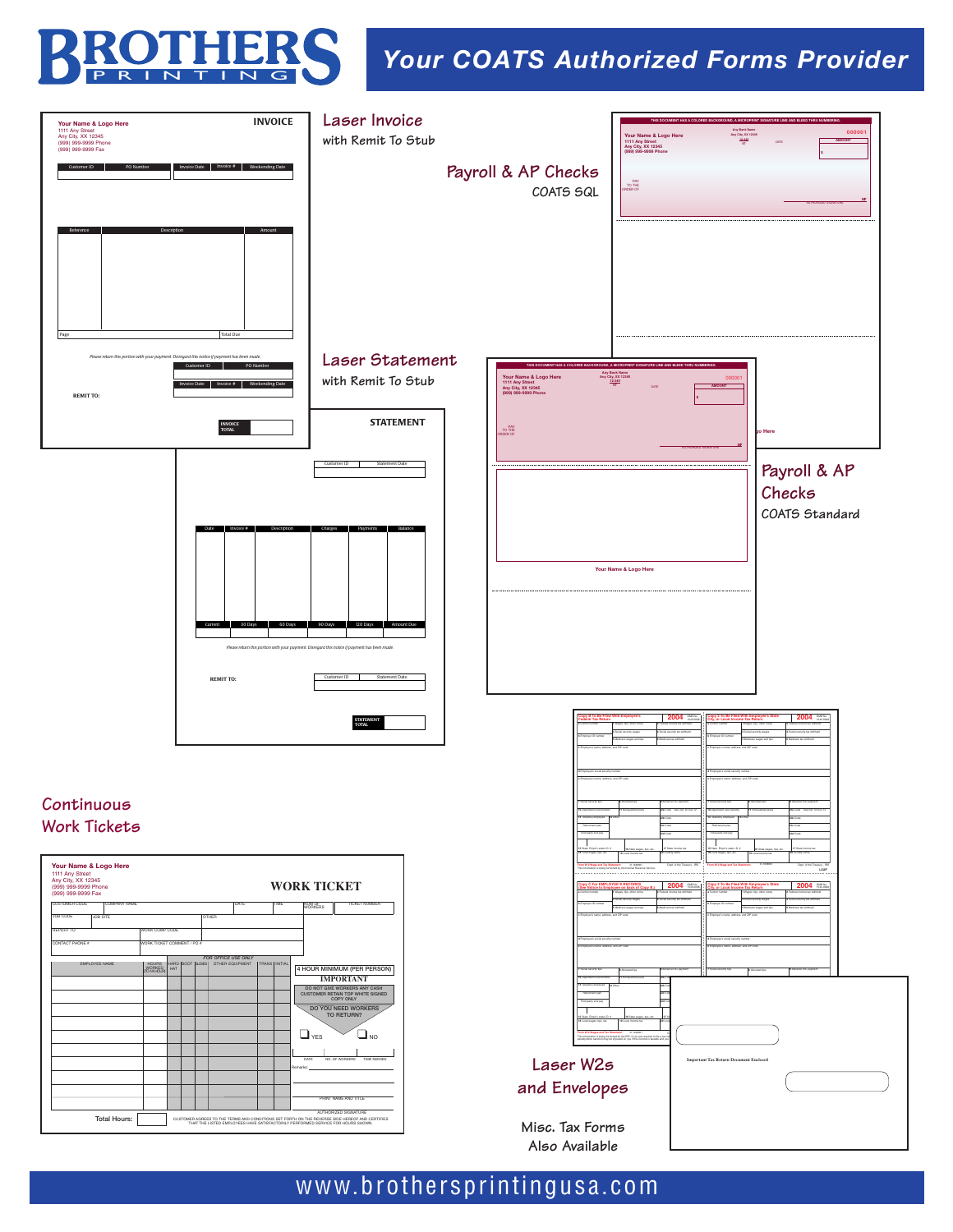

## *Your COATS Authorized Forms Provider*



## www.brothersprintingusa.com